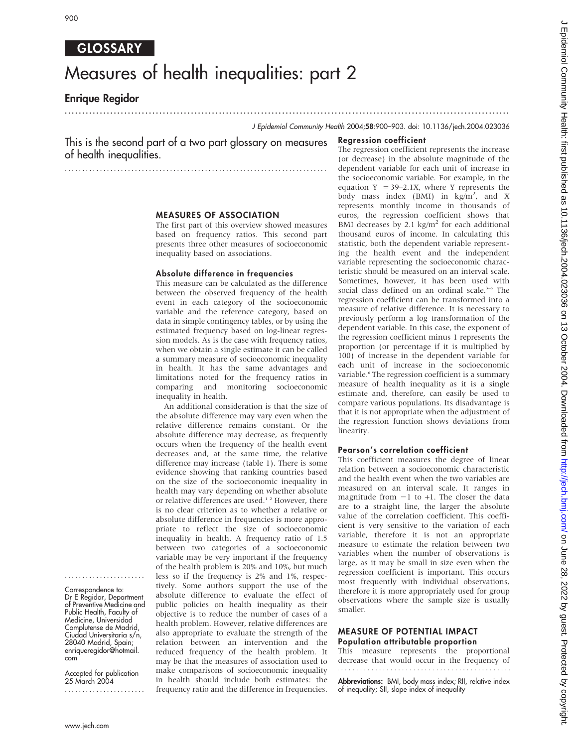## **GLOSSARY**

# Measures of health inequalities: part 2

## Enrique Regidor

J Epidemiol Community Health 2004;58:900–903. doi: 10.1136/jech.2004.023036

This is the second part of a two part glossary on measures of health inequalities.

...........................................................................

## Regression coefficient

## MEASURES OF ASSOCIATION

The first part of this overview showed measures based on frequency ratios. This second part presents three other measures of socioeconomic inequality based on associations.

...............................................................................................................................

## Absolute difference in frequencies

This measure can be calculated as the difference between the observed frequency of the health event in each category of the socioeconomic variable and the reference category, based on data in simple contingency tables, or by using the estimated frequency based on log-linear regression models. As is the case with frequency ratios, when we obtain a single estimate it can be called a summary measure of socioeconomic inequality in health. It has the same advantages and limitations noted for the frequency ratios in comparing and monitoring socioeconomic inequality in health.

An additional consideration is that the size of the absolute difference may vary even when the relative difference remains constant. Or the absolute difference may decrease, as frequently occurs when the frequency of the health event decreases and, at the same time, the relative difference may increase (table 1). There is some evidence showing that ranking countries based on the size of the socioeconomic inequality in health may vary depending on whether absolute or relative differences are used.<sup>12</sup> However, there is no clear criterion as to whether a relative or absolute difference in frequencies is more appropriate to reflect the size of socioeconomic inequality in health. A frequency ratio of 1.5 between two categories of a socioeconomic variable may be very important if the frequency of the health problem is 20% and 10%, but much less so if the frequency is 2% and 1%, respectively. Some authors support the use of the absolute difference to evaluate the effect of public policies on health inequality as their objective is to reduce the number of cases of a health problem. However, relative differences are also appropriate to evaluate the strength of the relation between an intervention and the reduced frequency of the health problem. It may be that the measures of association used to make comparisons of socioeconomic inequality in health should include both estimates: the frequency ratio and the difference in frequencies. The regression coefficient represents the increase (or decrease) in the absolute magnitude of the dependent variable for each unit of increase in the socioeconomic variable. For example, in the equation  $Y = 39-2.1X$ , where Y represents the body mass index (BMI) in kg/m<sup>2</sup>, and X represents monthly income in thousands of euros, the regression coefficient shows that BMI decreases by 2.1 kg/ $m<sup>2</sup>$  for each additional thousand euros of income. In calculating this statistic, both the dependent variable representing the health event and the independent variable representing the socioeconomic characteristic should be measured on an interval scale. Sometimes, however, it has been used with social class defined on an ordinal scale.<sup>3-6</sup> The regression coefficient can be transformed into a measure of relative difference. It is necessary to previously perform a log transformation of the dependent variable. In this case, the exponent of the regression coefficient minus 1 represents the proportion (or percentage if it is multiplied by 100) of increase in the dependent variable for each unit of increase in the socioeconomic variable.<sup>6</sup> The regression coefficient is a summary measure of health inequality as it is a single estimate and, therefore, can easily be used to compare various populations. Its disadvantage is that it is not appropriate when the adjustment of the regression function shows deviations from linearity.

## Pearson's correlation coefficient

This coefficient measures the degree of linear relation between a socioeconomic characteristic and the health event when the two variables are measured on an interval scale. It ranges in magnitude from  $-1$  to  $+1$ . The closer the data are to a straight line, the larger the absolute value of the correlation coefficient. This coefficient is very sensitive to the variation of each variable, therefore it is not an appropriate measure to estimate the relation between two variables when the number of observations is large, as it may be small in size even when the regression coefficient is important. This occurs most frequently with individual observations, therefore it is more appropriately used for group observations where the sample size is usually smaller.

## MEASURE OF POTENTIAL IMPACT Population attributable proportion

This measure represents the proportional decrease that would occur in the frequency of

Abbreviations: BMI, body mass index; RII, relative index of inequality; SII, slope index of inequality

 on June 28, 2022 by guest. Protected by copyright. <http://jech.bmj.com/> J Epidemiol Community Health: first published as 10.1136/jech.2004.023036 on 13 October 2004. Downloaded from Epidemiol Community Health: first published as 10.1136/jech.2004.023036 on 13 October 2004. Downloaded from http://jech.bmj.com/ on June 28, 2022 by guest. Protected by copyright

Correspondence to: Dr E Regidor, Department of Preventive Medicine and Public Health, Faculty of Medicine, Universidad Complutense de Madrid, Ciudad Universitaria s/n, 28040 Madrid, Spain; enriqueregidor@hotmail. com

Accepted for publication 25 March 2004 .......................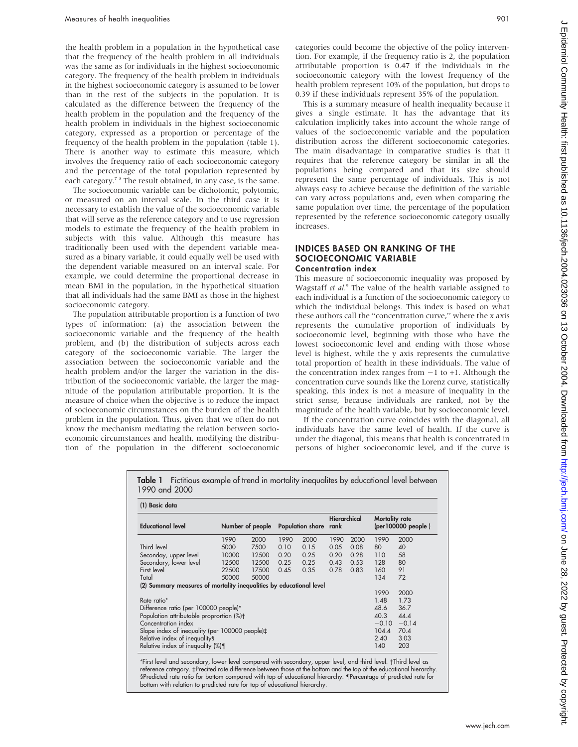the health problem in a population in the hypothetical case that the frequency of the health problem in all individuals was the same as for individuals in the highest socioeconomic category. The frequency of the health problem in individuals in the highest socioeconomic category is assumed to be lower than in the rest of the subjects in the population. It is calculated as the difference between the frequency of the health problem in the population and the frequency of the health problem in individuals in the highest socioeconomic category, expressed as a proportion or percentage of the frequency of the health problem in the population (table 1). There is another way to estimate this measure, which involves the frequency ratio of each socioeconomic category and the percentage of the total population represented by each category.<sup>7</sup> <sup>8</sup> The result obtained, in any case, is the same.

The socioeconomic variable can be dichotomic, polytomic, or measured on an interval scale. In the third case it is necessary to establish the value of the socioeconomic variable that will serve as the reference category and to use regression models to estimate the frequency of the health problem in subjects with this value. Although this measure has traditionally been used with the dependent variable measured as a binary variable, it could equally well be used with the dependent variable measured on an interval scale. For example, we could determine the proportional decrease in mean BMI in the population, in the hypothetical situation that all individuals had the same BMI as those in the highest socioeconomic category.

The population attributable proportion is a function of two types of information: (a) the association between the socioeconomic variable and the frequency of the health problem, and (b) the distribution of subjects across each category of the socioeconomic variable. The larger the association between the socioeconomic variable and the health problem and/or the larger the variation in the distribution of the socioeconomic variable, the larger the magnitude of the population attributable proportion. It is the measure of choice when the objective is to reduce the impact of socioeconomic circumstances on the burden of the health problem in the population. Thus, given that we often do not know the mechanism mediating the relation between socioeconomic circumstances and health, modifying the distribution of the population in the different socioeconomic categories could become the objective of the policy intervention. For example, if the frequency ratio is 2, the population attributable proportion is 0.47 if the individuals in the socioeconomic category with the lowest frequency of the health problem represent 10% of the population, but drops to 0.39 if these individuals represent 35% of the population.

This is a summary measure of health inequality because it gives a single estimate. It has the advantage that its calculation implicitly takes into account the whole range of values of the socioeconomic variable and the population distribution across the different socioeconomic categories. The main disadvantage in comparative studies is that it requires that the reference category be similar in all the populations being compared and that its size should represent the same percentage of individuals. This is not always easy to achieve because the definition of the variable can vary across populations and, even when comparing the same population over time, the percentage of the population represented by the reference socioeconomic category usually increases.

#### INDICES BASED ON RANKING OF THE SOCIOECONOMIC VARIABLE Concentration index

This measure of socioeconomic inequality was proposed by Wagstaff et al.<sup>9</sup> The value of the health variable assigned to each individual is a function of the socioeconomic category to which the individual belongs. This index is based on what these authors call the ''concentration curve,'' where the x axis represents the cumulative proportion of individuals by socioeconomic level, beginning with those who have the lowest socioeconomic level and ending with those whose level is highest, while the y axis represents the cumulative total proportion of health in these individuals. The value of the concentration index ranges from  $-1$  to  $+1$ . Although the concentration curve sounds like the Lorenz curve, statistically speaking, this index is not a measure of inequality in the strict sense, because individuals are ranked, not by the magnitude of the health variable, but by socioeconomic level.

If the concentration curve coincides with the diagonal, all individuals have the same level of health. If the curve is under the diagonal, this means that health is concentrated in persons of higher socioeconomic level, and if the curve is

#### Table 1 Fictitious example of trend in mortality inequalites by educational level between 1990 and 2000

| (1) Basic data                                                      |       |                  |      |                       |      |              |         |                                      |  |
|---------------------------------------------------------------------|-------|------------------|------|-----------------------|------|--------------|---------|--------------------------------------|--|
| <b>Educational level</b>                                            |       | Number of people |      | Population share rank |      | Hierarchical |         | Mortality rate<br>(per100000 people) |  |
|                                                                     | 1990  | 2000             | 1990 | 2000                  | 1990 | 2000         | 1990    | 2000                                 |  |
| Third level                                                         | 5000  | 7500             | 0.10 | 0.15                  | 0.05 | 0.08         | 80      | 40                                   |  |
| Seconday, upper level                                               | 10000 | 12500            | 0.20 | 0.25                  | 0.20 | 0.28         | 110     | 58                                   |  |
| Secondary, lower level                                              | 12500 | 12500            | 0.25 | 0.25                  | 0.43 | 0.53         | 128     | 80                                   |  |
| First level                                                         | 22500 | 17500            | 0.45 | 0.35                  | 0.78 | 0.83         | 160     | 91                                   |  |
| Total                                                               | 50000 | 50000            |      |                       |      |              | 134     | 72                                   |  |
| (2) Summary measures of mortality inequalities by educational level |       |                  |      |                       |      |              |         |                                      |  |
|                                                                     |       |                  |      |                       |      |              | 1990    | 2000                                 |  |
| Rate ratio*                                                         |       |                  |      |                       |      |              | 1.48    | 1.73                                 |  |
| Difference ratio (per 100000 people)*                               |       |                  |      |                       |      |              | 48.6    | 36.7                                 |  |
| Population attributable proprortion (%)+                            |       |                  |      |                       |      |              | 40.3    | 44.4                                 |  |
| Concentration index                                                 |       |                  |      |                       |      |              | $-0.10$ | $-0.14$                              |  |
| Slope index of inequality (per 100000 people)‡                      |       |                  |      |                       |      |              | 104.4   | 70.4                                 |  |
| Relative index of inequality's                                      |       |                  |      |                       |      |              | 2.40    | 3.03                                 |  |
| Relative index of inequality (%)                                    |       |                  |      |                       |      |              | 140     | 203                                  |  |

\*First level and secondary, lower level compared with secondary, upper level, and third level. Third level as reference category. ‡Precited rate difference between those at the bottom and the top of the educational hierarchy. §Predicted rate ratio for bottom compared with top of educational hierarchy. ¶Percentage of predicted rate for bottom with relation to predicted rate for top of educational hierarchy.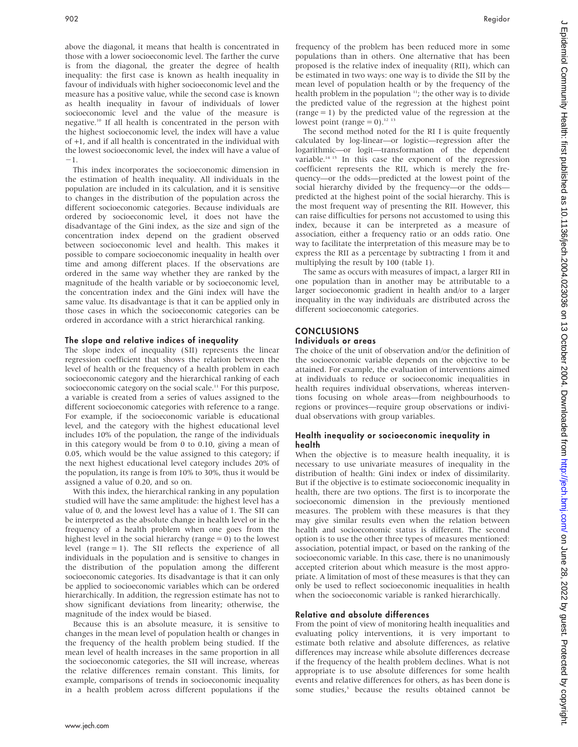above the diagonal, it means that health is concentrated in those with a lower socioeconomic level. The farther the curve is from the diagonal, the greater the degree of health inequality: the first case is known as health inequality in favour of individuals with higher socioeconomic level and the measure has a positive value, while the second case is known as health inequality in favour of individuals of lower socioeconomic level and the value of the measure is negative.10 If all health is concentrated in the person with the highest socioeconomic level, the index will have a value of +1, and if all health is concentrated in the individual with the lowest socioeconomic level, the index will have a value of  $-1$ .

This index incorporates the socioeconomic dimension in the estimation of health inequality. All individuals in the population are included in its calculation, and it is sensitive to changes in the distribution of the population across the different socioeconomic categories. Because individuals are ordered by socioeconomic level, it does not have the disadvantage of the Gini index, as the size and sign of the concentration index depend on the gradient observed between socioeconomic level and health. This makes it possible to compare socioeconomic inequality in health over time and among different places. If the observations are ordered in the same way whether they are ranked by the magnitude of the health variable or by socioeconomic level, the concentration index and the Gini index will have the same value. Its disadvantage is that it can be applied only in those cases in which the socioeconomic categories can be ordered in accordance with a strict hierarchical ranking.

## The slope and relative indices of inequality

The slope index of inequality (SII) represents the linear regression coefficient that shows the relation between the level of health or the frequency of a health problem in each socioeconomic category and the hierarchical ranking of each socioeconomic category on the social scale.<sup>11</sup> For this purpose, a variable is created from a series of values assigned to the different socioeconomic categories with reference to a range. For example, if the socioeconomic variable is educational level, and the category with the highest educational level includes 10% of the population, the range of the individuals in this category would be from 0 to 0.10, giving a mean of 0.05, which would be the value assigned to this category; if the next highest educational level category includes 20% of the population, its range is from 10% to 30%, thus it would be assigned a value of 0.20, and so on.

With this index, the hierarchical ranking in any population studied will have the same amplitude: the highest level has a value of 0, and the lowest level has a value of 1. The SII can be interpreted as the absolute change in health level or in the frequency of a health problem when one goes from the highest level in the social hierarchy (range = 0) to the lowest level (range = 1). The SII reflects the experience of all individuals in the population and is sensitive to changes in the distribution of the population among the different socioeconomic categories. Its disadvantage is that it can only be applied to socioeconomic variables which can be ordered hierarchically. In addition, the regression estimate has not to show significant deviations from linearity; otherwise, the magnitude of the index would be biased.

Because this is an absolute measure, it is sensitive to changes in the mean level of population health or changes in the frequency of the health problem being studied. If the mean level of health increases in the same proportion in all the socioeconomic categories, the SII will increase, whereas the relative differences remain constant. This limits, for example, comparisons of trends in socioeconomic inequality in a health problem across different populations if the frequency of the problem has been reduced more in some populations than in others. One alternative that has been proposed is the relative index of inequality (RII), which can be estimated in two ways: one way is to divide the SII by the mean level of population health or by the frequency of the health problem in the population <sup>11</sup>; the other way is to divide the predicted value of the regression at the highest point (range = 1) by the predicted value of the regression at the lowest point (range  $= 0$ ).<sup>12</sup> <sup>13</sup>

The second method noted for the RI I is quite frequently calculated by log-linear—or logistic—regression after the logarithmic—or logit—transformation of the dependent variable.14 15 In this case the exponent of the regression coefficient represents the RII, which is merely the frequency—or the odds—predicted at the lowest point of the social hierarchy divided by the frequency—or the odds predicted at the highest point of the social hierarchy. This is the most frequent way of presenting the RII. However, this can raise difficulties for persons not accustomed to using this index, because it can be interpreted as a measure of association, either a frequency ratio or an odds ratio. One way to facilitate the interpretation of this measure may be to express the RII as a percentage by subtracting 1 from it and multiplying the result by 100 (table 1).

The same as occurs with measures of impact, a larger RII in one population than in another may be attributable to a larger socioeconomic gradient in health and/or to a larger inequality in the way individuals are distributed across the different socioeconomic categories.

#### CONCLUSIONS Individuals or areas

The choice of the unit of observation and/or the definition of the socioeconomic variable depends on the objective to be attained. For example, the evaluation of interventions aimed at individuals to reduce or socioeconomic inequalities in health requires individual observations, whereas interventions focusing on whole areas—from neighbourhoods to regions or provinces—require group observations or individual observations with group variables.

## Health inequality or socioeconomic inequality in health

When the objective is to measure health inequality, it is necessary to use univariate measures of inequality in the distribution of health: Gini index or index of dissimilarity. But if the objective is to estimate socioeconomic inequality in health, there are two options. The first is to incorporate the socioeconomic dimension in the previously mentioned measures. The problem with these measures is that they may give similar results even when the relation between health and socioeconomic status is different. The second option is to use the other three types of measures mentioned: association, potential impact, or based on the ranking of the socioeconomic variable. In this case, there is no unanimously accepted criterion about which measure is the most appropriate. A limitation of most of these measures is that they can only be used to reflect socioeconomic inequalities in health when the socioeconomic variable is ranked hierarchically.

## Relative and absolute differences

From the point of view of monitoring health inequalities and evaluating policy interventions, it is very important to estimate both relative and absolute differences, as relative differences may increase while absolute differences decrease if the frequency of the health problem declines. What is not appropriate is to use absolute differences for some health events and relative differences for others, as has been done is some studies,<sup>3</sup> because the results obtained cannot be

 on June 28, 2022 by guest. Protected by copyright. <http://jech.bmj.com/> J Epidemiol Community Health: first published as 10.1136/jech.2004.023036 on 13 October 2004. Downloaded from Epidemiol Community Health: first published as 10.1136/jech.2004.023036 on 13 October 2004. Downloaded from http://jech.bmj.com/ on June 28, 2022 by guest. Protected by copyright